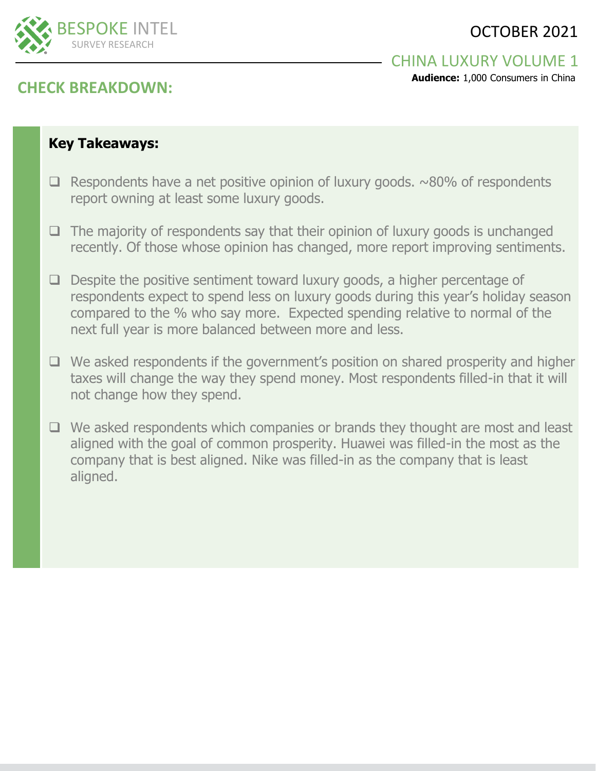

CHINA LUXURY VOLUME 1 **Audience:** 1,000 Consumers in China

## **CHECK BREAKDOWN:**

## **Key Takeaways:**

- $\Box$  Respondents have a net positive opinion of luxury goods.  $\sim$ 80% of respondents report owning at least some luxury goods.
- ❑ The majority of respondents say that their opinion of luxury goods is unchanged recently. Of those whose opinion has changed, more report improving sentiments.
- ❑ Despite the positive sentiment toward luxury goods, a higher percentage of respondents expect to spend less on luxury goods during this year's holiday season compared to the % who say more. Expected spending relative to normal of the next full year is more balanced between more and less.
- ❑ We asked respondents if the government's position on shared prosperity and higher taxes will change the way they spend money. Most respondents filled-in that it will not change how they spend.
- ❑ We asked respondents which companies or brands they thought are most and least aligned with the goal of common prosperity. Huawei was filled-in the most as the company that is best aligned. Nike was filled-in as the company that is least aligned.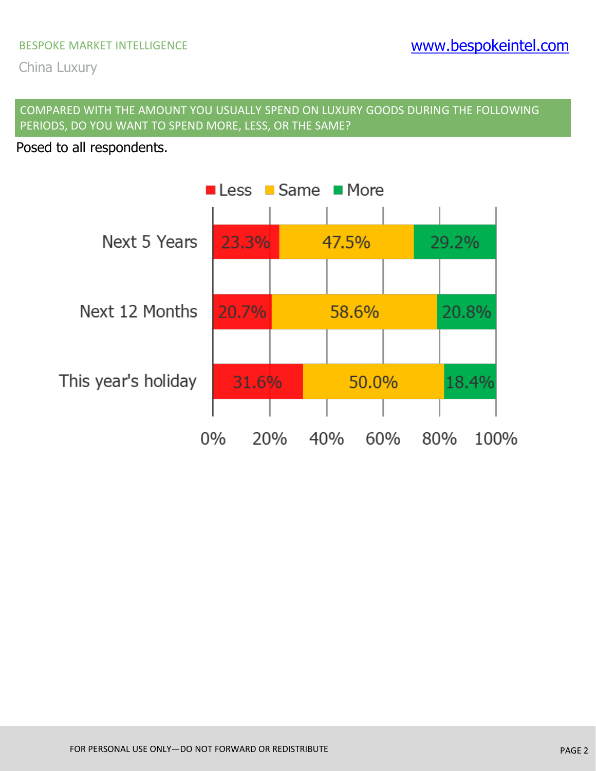COMPARED WITH THE AMOUNT YOU USUALLY SPEND ON LUXURY GOODS DURING THE FOLLOWING PERIODS, DO YOU WANT TO SPEND MORE, LESS, OR THE SAME?

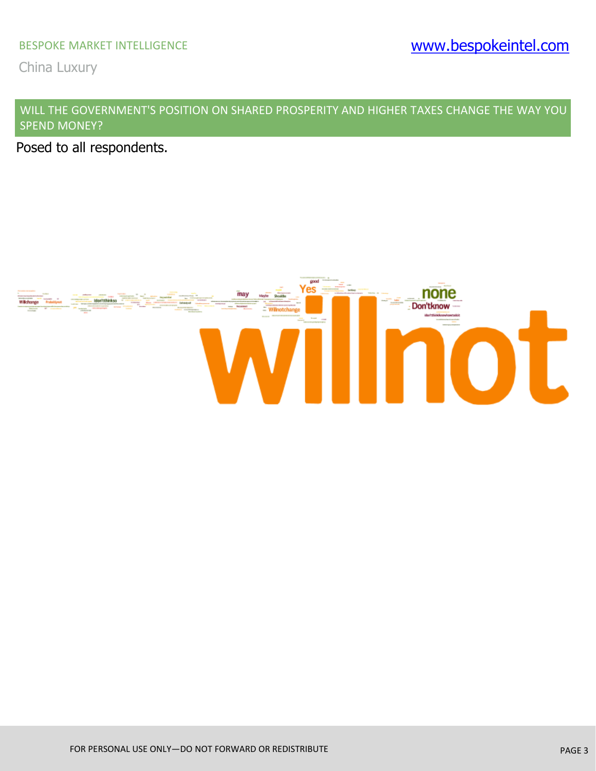WILL THE GOVERNMENT'S POSITION ON SHARED PROSPERITY AND HIGHER TAXES CHANGE THE WAY YOU SPEND MONEY?

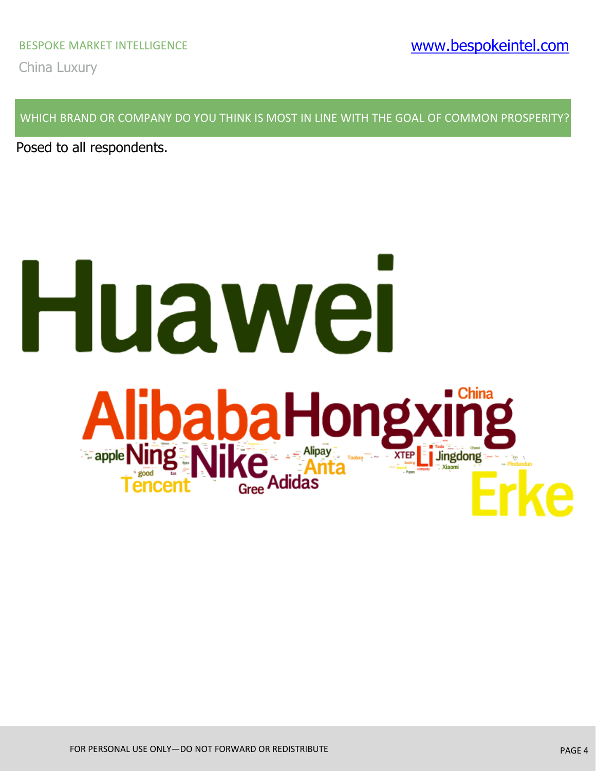WHICH BRAND OR COMPANY DO YOU THINK IS MOST IN LINE WITH THE GOAL OF COMMON PROSPERITY?

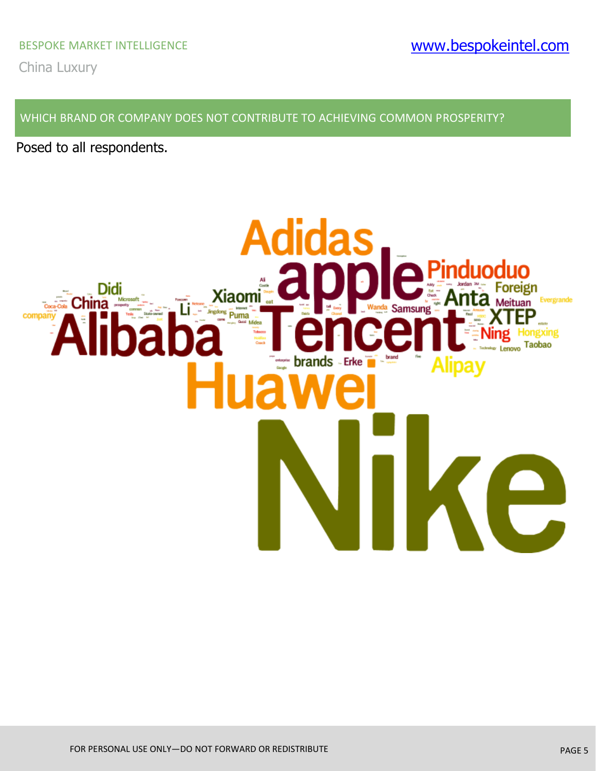### WHICH BRAND OR COMPANY DOES NOT CONTRIBUTE TO ACHIEVING COMMON PROSPERITY?

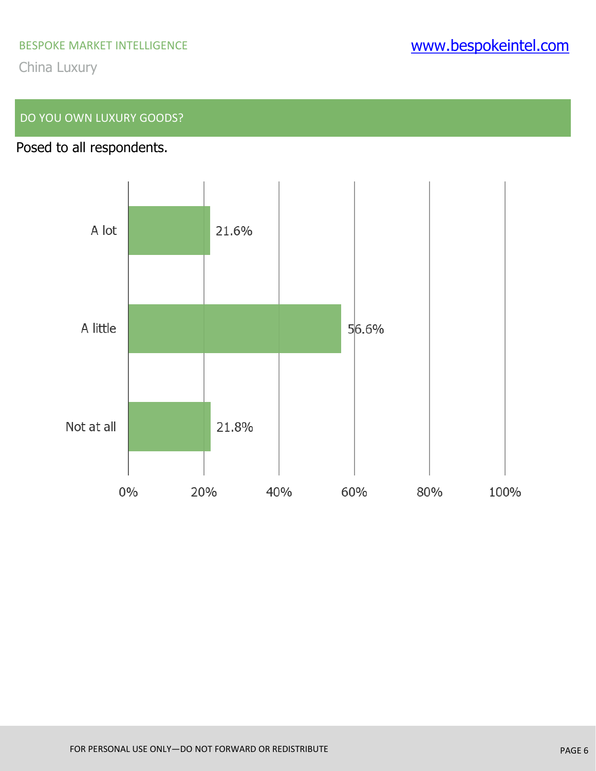### DO YOU OWN LUXURY GOODS?

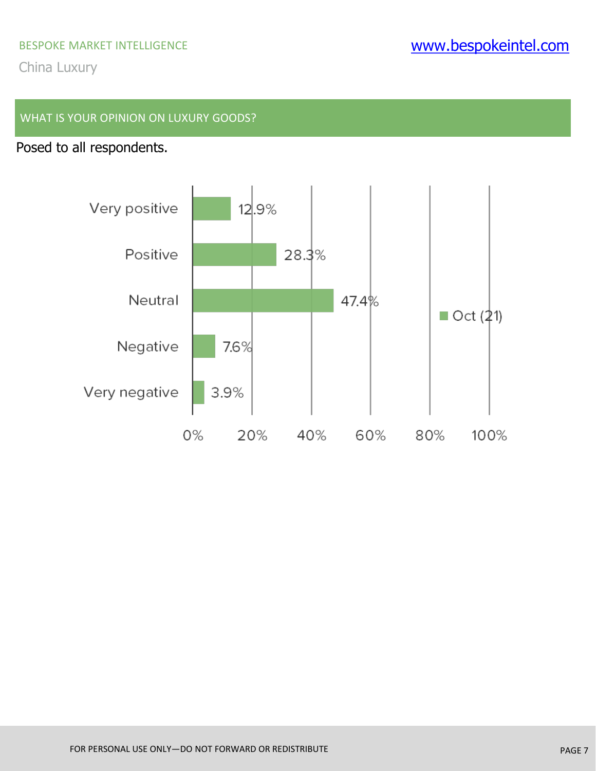### WHAT IS YOUR OPINION ON LUXURY GOODS?

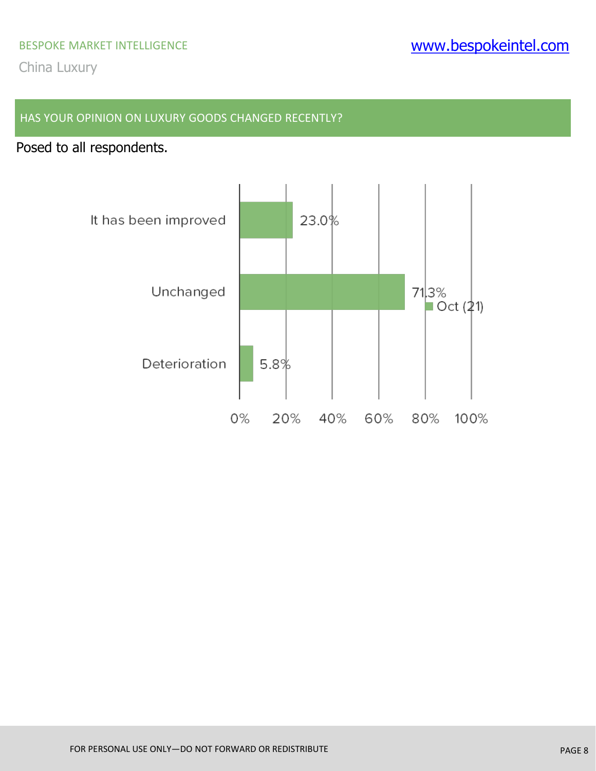### HAS YOUR OPINION ON LUXURY GOODS CHANGED RECENTLY?

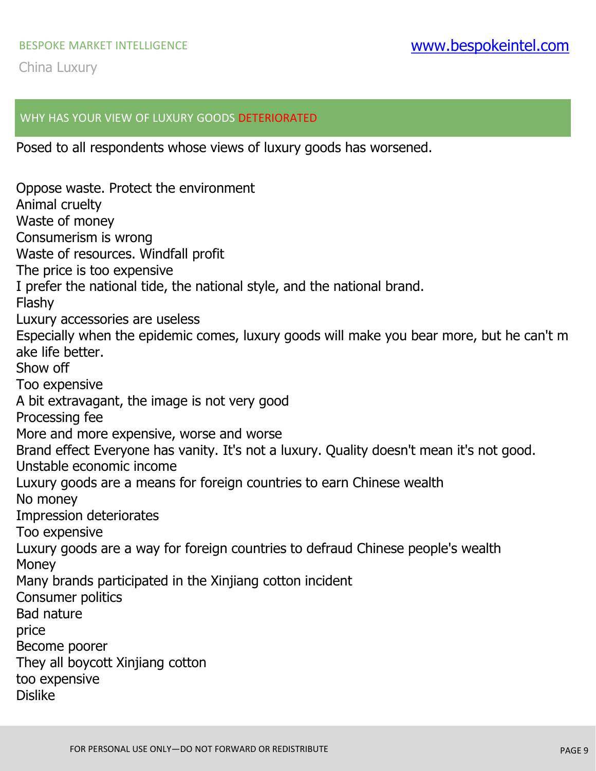### WHY HAS YOUR VIEW OF LUXURY GOODS DETERIORATED

Posed to all respondents whose views of luxury goods has worsened.

Oppose waste. Protect the environment Animal cruelty Waste of money Consumerism is wrong Waste of resources. Windfall profit The price is too expensive I prefer the national tide, the national style, and the national brand. Flashy Luxury accessories are useless Especially when the epidemic comes, luxury goods will make you bear more, but he can't m ake life better. Show off Too expensive A bit extravagant, the image is not very good Processing fee More and more expensive, worse and worse Brand effect Everyone has vanity. It's not a luxury. Quality doesn't mean it's not good. Unstable economic income Luxury goods are a means for foreign countries to earn Chinese wealth No money Impression deteriorates Too expensive Luxury goods are a way for foreign countries to defraud Chinese people's wealth **Money** Many brands participated in the Xinjiang cotton incident Consumer politics Bad nature price Become poorer They all boycott Xinjiang cotton too expensive Dislike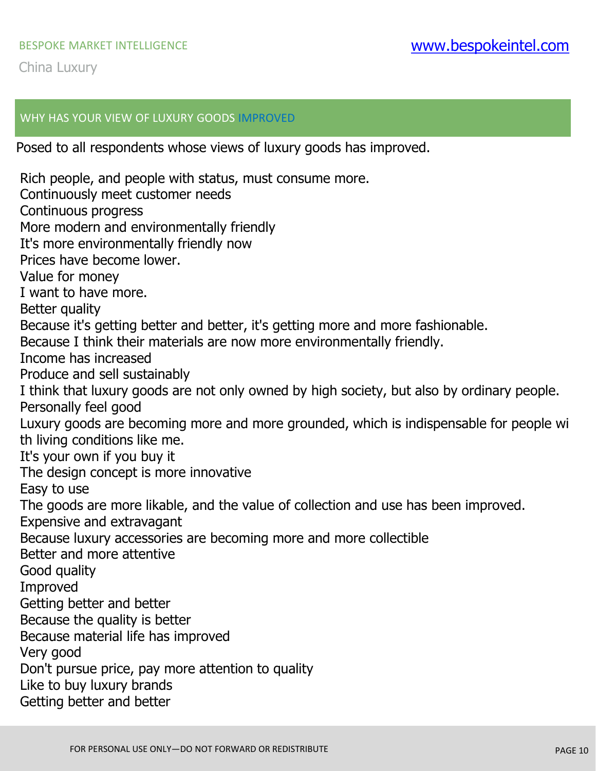### WHY HAS YOUR VIEW OF LUXURY GOODS IMPROVED

Posed to all respondents whose views of luxury goods has improved.

Rich people, and people with status, must consume more. Continuously meet customer needs Continuous progress More modern and environmentally friendly It's more environmentally friendly now Prices have become lower. Value for money I want to have more. Better quality Because it's getting better and better, it's getting more and more fashionable. Because I think their materials are now more environmentally friendly. Income has increased Produce and sell sustainably I think that luxury goods are not only owned by high society, but also by ordinary people. Personally feel good Luxury goods are becoming more and more grounded, which is indispensable for people wi th living conditions like me. It's your own if you buy it The design concept is more innovative Easy to use The goods are more likable, and the value of collection and use has been improved. Expensive and extravagant Because luxury accessories are becoming more and more collectible Better and more attentive Good quality Improved Getting better and better Because the quality is better Because material life has improved Very good Don't pursue price, pay more attention to quality Like to buy luxury brands Getting better and better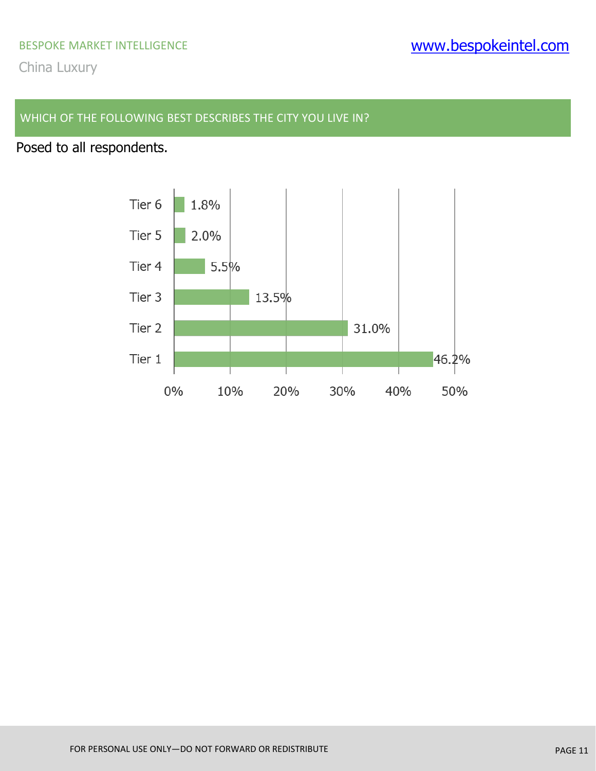# WHICH OF THE FOLLOWING BEST DESCRIBES THE CITY YOU LIVE IN?